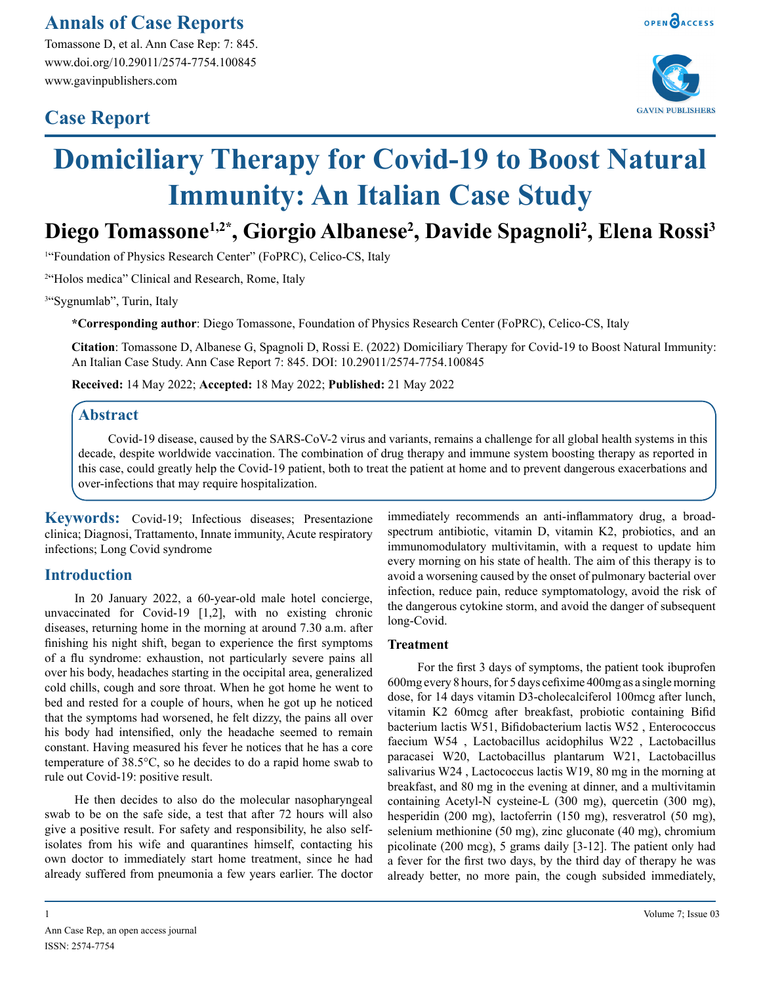# **Annals of Case Reports**

Tomassone D, et al. Ann Case Rep: 7: 845. www.doi.org/10.29011/2574-7754.100845 www.gavinpublishers.com

# **Case Report**



# **Domiciliary Therapy for Covid-19 to Boost Natural Immunity: An Italian Case Study**

# **Diego Tomassone1,2\*, Giorgio Albanese2 , Davide Spagnoli2 , Elena Rossi3**

<sup>1</sup>"Foundation of Physics Research Center" (FoPRC), Celico-CS, Italy

2 "Holos medica" Clinical and Research, Rome, Italy

<sup>3"</sup>Sygnumlab", Turin, Italy

**\*Corresponding author**: Diego Tomassone, Foundation of Physics Research Center (FoPRC), Celico-CS, Italy

**Citation**: Tomassone D, Albanese G, Spagnoli D, Rossi E. (2022) Domiciliary Therapy for Covid-19 to Boost Natural Immunity: An Italian Case Study. Ann Case Report 7: 845. DOI: 10.29011/2574-7754.100845

**Received:** 14 May 2022; **Accepted:** 18 May 2022; **Published:** 21 May 2022

#### **Abstract**

Covid-19 disease, caused by the SARS-CoV-2 virus and variants, remains a challenge for all global health systems in this decade, despite worldwide vaccination. The combination of drug therapy and immune system boosting therapy as reported in this case, could greatly help the Covid-19 patient, both to treat the patient at home and to prevent dangerous exacerbations and over-infections that may require hospitalization.

**Keywords:** Covid-19; Infectious diseases; Presentazione clinica; Diagnosi, Trattamento, Innate immunity, Acute respiratory infections; Long Covid syndrome

## **Introduction**

In 20 January 2022, a 60-year-old male hotel concierge, unvaccinated for Covid-19 [1,2], with no existing chronic diseases, returning home in the morning at around 7.30 a.m. after finishing his night shift, began to experience the first symptoms of a flu syndrome: exhaustion, not particularly severe pains all over his body, headaches starting in the occipital area, generalized cold chills, cough and sore throat. When he got home he went to bed and rested for a couple of hours, when he got up he noticed that the symptoms had worsened, he felt dizzy, the pains all over his body had intensified, only the headache seemed to remain constant. Having measured his fever he notices that he has a core temperature of 38.5°C, so he decides to do a rapid home swab to rule out Covid-19: positive result.

He then decides to also do the molecular nasopharyngeal swab to be on the safe side, a test that after 72 hours will also give a positive result. For safety and responsibility, he also selfisolates from his wife and quarantines himself, contacting his own doctor to immediately start home treatment, since he had already suffered from pneumonia a few years earlier. The doctor

1 Volume 7; Issue 03

Ann Case Rep, an open access journal ISSN: 2574-7754

immediately recommends an anti-inflammatory drug, a broadspectrum antibiotic, vitamin D, vitamin K2, probiotics, and an immunomodulatory multivitamin, with a request to update him every morning on his state of health. The aim of this therapy is to avoid a worsening caused by the onset of pulmonary bacterial over infection, reduce pain, reduce symptomatology, avoid the risk of the dangerous cytokine storm, and avoid the danger of subsequent long-Covid.

#### **Treatment**

For the first 3 days of symptoms, the patient took ibuprofen 600mg every 8 hours, for 5 days cefixime 400mg as a single morning dose, for 14 days vitamin D3-cholecalciferol 100mcg after lunch, vitamin K2 60mcg after breakfast, probiotic containing Bifid bacterium lactis W51, Bifidobacterium lactis W52 , Enterococcus faecium W54 , Lactobacillus acidophilus W22 , Lactobacillus paracasei W20, Lactobacillus plantarum W21, Lactobacillus salivarius W24 , Lactococcus lactis W19, 80 mg in the morning at breakfast, and 80 mg in the evening at dinner, and a multivitamin containing Acetyl-N cysteine-L (300 mg), quercetin (300 mg), hesperidin (200 mg), lactoferrin (150 mg), resveratrol (50 mg), selenium methionine (50 mg), zinc gluconate (40 mg), chromium picolinate (200 mcg), 5 grams daily [3-12]. The patient only had a fever for the first two days, by the third day of therapy he was already better, no more pain, the cough subsided immediately,